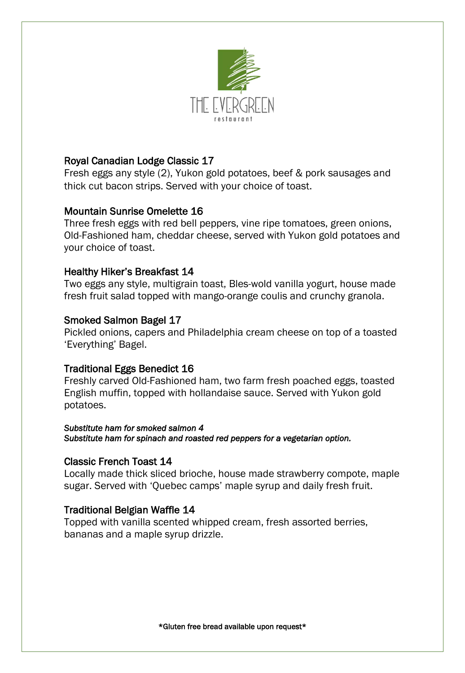

#### Royal Canadian Lodge Classic 17

Fresh eggs any style (2), Yukon gold potatoes, beef & pork sausages and thick cut bacon strips. Served with your choice of toast.

#### Mountain Sunrise Omelette 16

Three fresh eggs with red bell peppers, vine ripe tomatoes, green onions, Old-Fashioned ham, cheddar cheese, served with Yukon gold potatoes and your choice of toast.

#### Healthy Hiker's Breakfast 14

Two eggs any style, multigrain toast, Bles-wold vanilla yogurt, house made fresh fruit salad topped with mango-orange coulis and crunchy granola.

#### Smoked Salmon Bagel 17

Pickled onions, capers and Philadelphia cream cheese on top of a toasted 'Everything' Bagel.

### Traditional Eggs Benedict 16

Freshly carved Old-Fashioned ham, two farm fresh poached eggs, toasted English muffin, topped with hollandaise sauce. Served with Yukon gold potatoes.

#### *Substitute ham for smoked salmon 4 Substitute ham for spinach and roasted red peppers for a vegetarian option.*

#### Classic French Toast 14

Locally made thick sliced brioche, house made strawberry compote, maple sugar. Served with 'Quebec camps' maple syrup and daily fresh fruit.

#### Traditional Belgian Waffle 14

Topped with vanilla scented whipped cream, fresh assorted berries, bananas and a maple syrup drizzle.